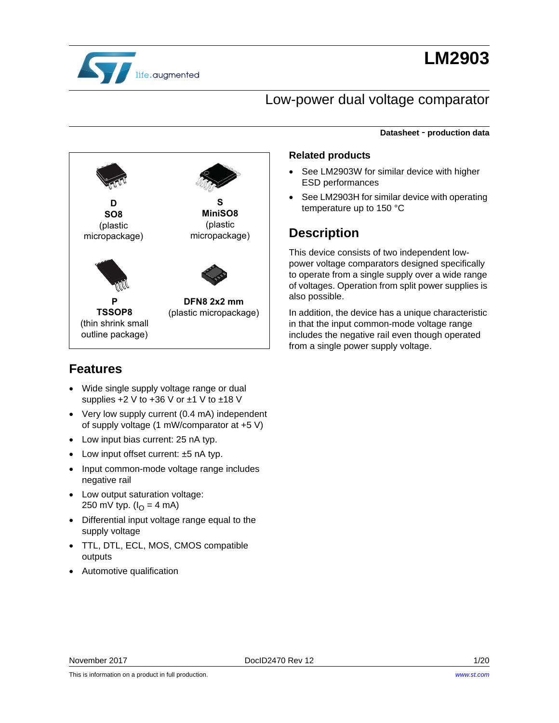

# **LM2903**

**Datasheet** - **production data**

### Low-power dual voltage comparator



### **Related products**

- See LM2903W for similar device with higher ESD performances
- See LM2903H for similar device with operating temperature up to 150 °C

### **Description**

This device consists of two independent lowpower voltage comparators designed specifically to operate from a single supply over a wide range of voltages. Operation from split power supplies is also possible.

In addition, the device has a unique characteristic in that the input common-mode voltage range includes the negative rail even though operated from a single power supply voltage.

### **Features**

- Wide single supply voltage range or dual supplies  $+2$  V to  $+36$  V or  $\pm$ 1 V to  $\pm$ 18 V
- Very low supply current (0.4 mA) independent of supply voltage (1 mW/comparator at +5 V)
- Low input bias current: 25 nA typ.
- Low input offset current: ±5 nA typ.
- Input common-mode voltage range includes negative rail
- Low output saturation voltage: 250 mV typ. ( $I_{\Omega} = 4$  mA)
- Differential input voltage range equal to the supply voltage
- TTL, DTL, ECL, MOS, CMOS compatible outputs
- Automotive qualification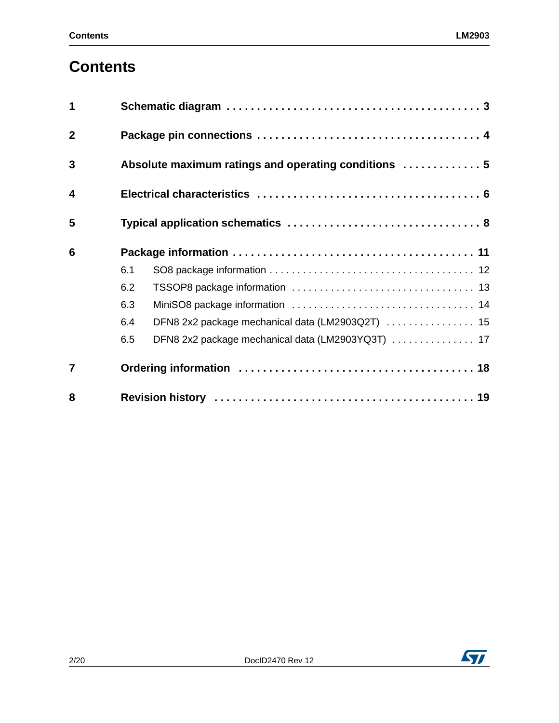# **Contents**

| 1                       |                                                          |  |  |  |  |  |
|-------------------------|----------------------------------------------------------|--|--|--|--|--|
| $\overline{2}$          |                                                          |  |  |  |  |  |
| 3                       | Absolute maximum ratings and operating conditions  5     |  |  |  |  |  |
| $\overline{\mathbf{4}}$ |                                                          |  |  |  |  |  |
| 5                       |                                                          |  |  |  |  |  |
| 6                       |                                                          |  |  |  |  |  |
|                         | 6.1                                                      |  |  |  |  |  |
|                         | 6.2                                                      |  |  |  |  |  |
|                         | 6.3                                                      |  |  |  |  |  |
|                         | DFN8 2x2 package mechanical data (LM2903Q2T)  15<br>6.4  |  |  |  |  |  |
|                         | DFN8 2x2 package mechanical data (LM2903YQ3T)  17<br>6.5 |  |  |  |  |  |
| $\overline{7}$          |                                                          |  |  |  |  |  |
| 8                       |                                                          |  |  |  |  |  |

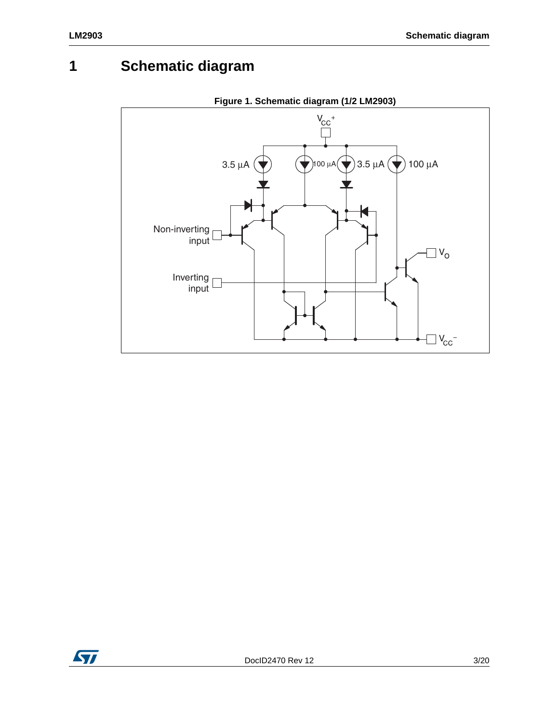# **1 Schematic diagram**



**Figure 1. Schematic diagram (1/2 LM2903)**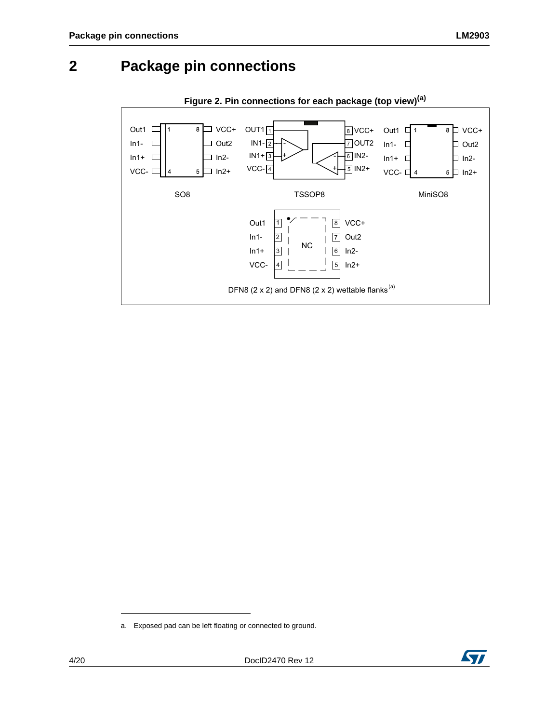### <span id="page-3-0"></span>**2 Package pin connections**





a. Exposed pad can be left floating or connected to ground.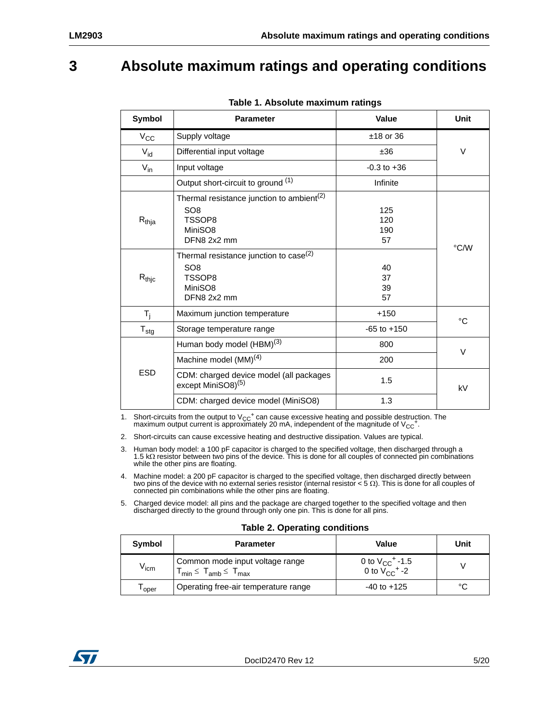## <span id="page-4-0"></span>**3 Absolute maximum ratings and operating conditions**

| Symbol                       | <b>Parameter</b>                                                                                             | Value                   | Unit |
|------------------------------|--------------------------------------------------------------------------------------------------------------|-------------------------|------|
| $V_{\rm CC}$                 | Supply voltage                                                                                               | $±18$ or 36             |      |
| $V_{\mathsf{id}}$            | Differential input voltage                                                                                   | ±36                     | V    |
| $V_{in}$                     | Input voltage                                                                                                | $-0.3$ to $+36$         |      |
|                              | Output short-circuit to ground (1)                                                                           | Infinite                |      |
| $R_{thja}$                   | Thermal resistance junction to ambient <sup>(2)</sup><br>SO <sub>8</sub><br>TSSOP8<br>MiniSO8<br>DFN8 2x2 mm | 125<br>120<br>190<br>57 | °C/W |
| $\mathsf{R}_{\mathsf{thjc}}$ | Thermal resistance junction to case <sup>(2)</sup><br>SO <sub>8</sub><br>TSSOP8<br>MiniSO8<br>DFN8 2x2 mm    | 40<br>37<br>39<br>57    |      |
| $T_{j}$                      | Maximum junction temperature                                                                                 | $+150$                  | °C   |
| ${\mathsf T}_{\textsf{stg}}$ | Storage temperature range                                                                                    | $-65$ to $+150$         |      |
|                              | Human body model (HBM) <sup>(3)</sup>                                                                        | 800                     | V    |
| <b>ESD</b>                   | Machine model $(MM)^{(4)}$                                                                                   | 200                     |      |
|                              | CDM: charged device model (all packages<br>except MiniSO8) <sup>(5)</sup>                                    | 1.5                     | kV   |
|                              | CDM: charged device model (MiniSO8)                                                                          | 1.3                     |      |

#### **Table 1. Absolute maximum ratings**

1. Short-circuits from the output to  $V_{CC}$ <sup>+</sup> can cause excessive heating and possible destruction. The maximum output current is approximately 20 mA, independent of the magnitude of  $V_{CC}^+$ .

2. Short-circuits can cause excessive heating and destructive dissipation. Values are typical.

3. Human body model: a 100 pF capacitor is charged to the specified voltage, then discharged through a 1.5 kΩ resistor between two pins of the device. This is done for all couples of connected pin combinations while the other pins are floating.

4. Machine model: a 200 pF capacitor is charged to the specified voltage, then discharged directly between<br>two pins of the device with no external series resistor (internal resistor < 5  $\Omega$ ). This is done for all couples

5. Charged device model: all pins and the package are charged together to the specified voltage and then discharged directly to the ground through only one pin. This is done for all pins.

#### **Table 2. Operating conditions**

| Symbol           | <b>Parameter</b>                                                       | Value                                                            | Unit |
|------------------|------------------------------------------------------------------------|------------------------------------------------------------------|------|
| $V_{\text{icm}}$ | Common mode input voltage range<br>$T_{min} \leq T_{amb} \leq T_{max}$ | 0 to $V_{CC}$ <sup>+</sup> -1.5<br>0 to $V_{CC}$ <sup>+</sup> -2 |      |
| oper             | Operating free-air temperature range                                   | $-40$ to $+125$                                                  | °C   |

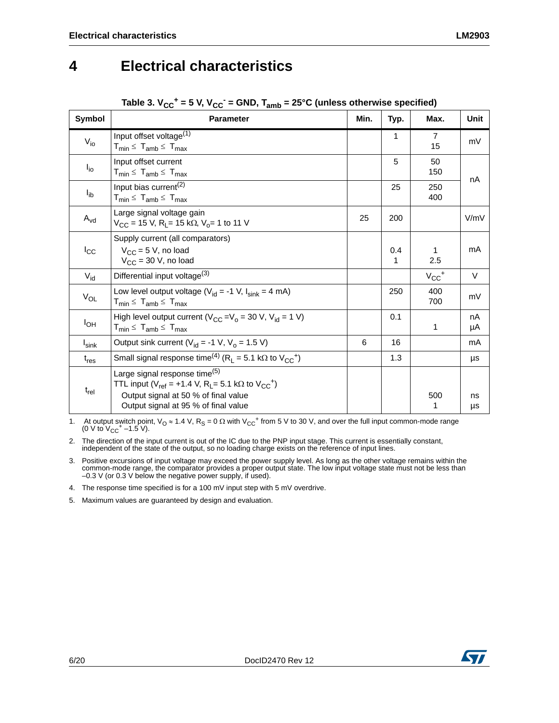### <span id="page-5-0"></span>**4 Electrical characteristics**

| Symbol            | <b>Parameter</b>                                                                                                                                                                                                | Min. | Typ.     | Max.                  | Unit     |
|-------------------|-----------------------------------------------------------------------------------------------------------------------------------------------------------------------------------------------------------------|------|----------|-----------------------|----------|
| $V_{i0}$          | Input offset voltage <sup>(1)</sup><br>$T_{min} \leq T_{amb} \leq T_{max}$                                                                                                                                      |      | 1        | $\overline{7}$<br>15  | mV       |
| $I_{io}$          | Input offset current<br>$T_{min} \leq T_{amb} \leq T_{max}$                                                                                                                                                     |      | 5        | 50<br>150             | nA       |
| $I_{ib}$          | Input bias current <sup>(2)</sup><br>$T_{min} \leq T_{amb} \leq T_{max}$                                                                                                                                        |      | 25       | 250<br>400            |          |
| $A_{vd}$          | Large signal voltage gain<br>$V_{CC}$ = 15 V, R <sub>L</sub> = 15 k $\Omega$ , V <sub>o</sub> = 1 to 11 V                                                                                                       | 25   | 200      |                       | V/mV     |
| $I_{\rm CC}$      | Supply current (all comparators)<br>$V_{CC}$ = 5 V, no load<br>$V_{CC}$ = 30 V, no load                                                                                                                         |      | 0.4<br>1 | 1<br>2.5              | mA       |
| $V_{\text{id}}$   | Differential input voltage <sup>(3)</sup>                                                                                                                                                                       |      |          | $V_{CC}$ <sup>+</sup> | V        |
| $V_{OL}$          | Low level output voltage ( $V_{id}$ = -1 V, $I_{sink}$ = 4 mA)<br>$T_{min} \leq T_{amb} \leq T_{max}$                                                                                                           |      | 250      | 400<br>700            | mV       |
| $I_{OH}$          | High level output current ( $V_{CC} = V_0 = 30$ V, $V_{id} = 1$ V)<br>$T_{min} \leq T_{amb} \leq T_{max}$                                                                                                       |      | 0.1      | 1                     | nA<br>μA |
| $I_{\text{sink}}$ | Output sink current ( $V_{id}$ = -1 V, $V_o$ = 1.5 V)                                                                                                                                                           | 6    | 16       |                       | mA       |
| $t_{res}$         | Small signal response time <sup>(4)</sup> (R <sub>L</sub> = 5.1 kΩ to V <sub>CC</sub> <sup>+</sup> )                                                                                                            |      | 1.3      |                       | μs       |
| $t_{rel}$         | Large signal response time <sup>(5)</sup><br>TTL input ( $V_{ref}$ = +1.4 V, R <sub>L</sub> = 5.1 kΩ to $V_{CC}$ <sup>+</sup> )<br>Output signal at 50 % of final value<br>Output signal at 95 % of final value |      |          | 500<br>1              | ns<br>μs |

### Table 3.  $V_{CC}^+$  = 5 V,  $V_{CC}^-$  = GND,  $T_{amb}$  = 25°C (unless otherwise specified)

1. At output switch point,  $V_O \approx 1.4$  V,  $R_S = 0 \Omega$  with  $V_{CC}^+$  from 5 V to 30 V, and over the full input common-mode range (0 V to  $V_{CC}^+$  –1.5 V).

2. The direction of the input current is out of the IC due to the PNP input stage. This current is essentially constant, independent of the state of the output, so no loading charge exists on the reference of input lines.

3. Positive excursions of input voltage may exceed the power supply level. As long as the other voltage remains within the common-mode range, the comparator provides a proper output state. The low input voltage state must not be less than –0.3 V (or 0.3 V below the negative power supply, if used).

4. The response time specified is for a 100 mV input step with 5 mV overdrive.

5. Maximum values are guaranteed by design and evaluation.

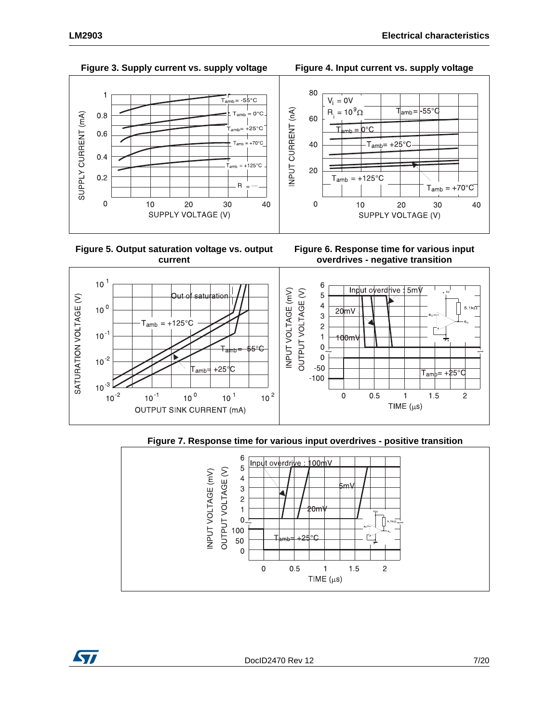

 **Figure 5. Output saturation voltage vs. output current**







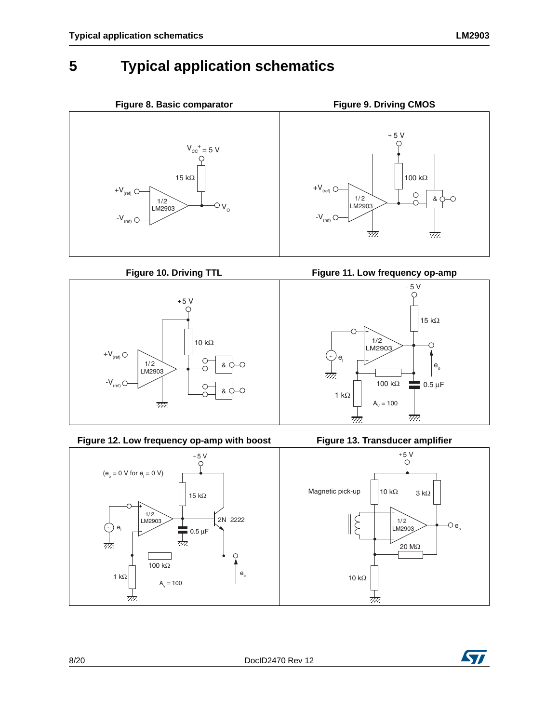# <span id="page-7-0"></span>**5 Typical application schematics**





Figure 12. Low frequency op-amp with boost Figure 13. Transducer amplifier



Figure 10. Driving TTL **Figure 11. Low frequency op-amp** 





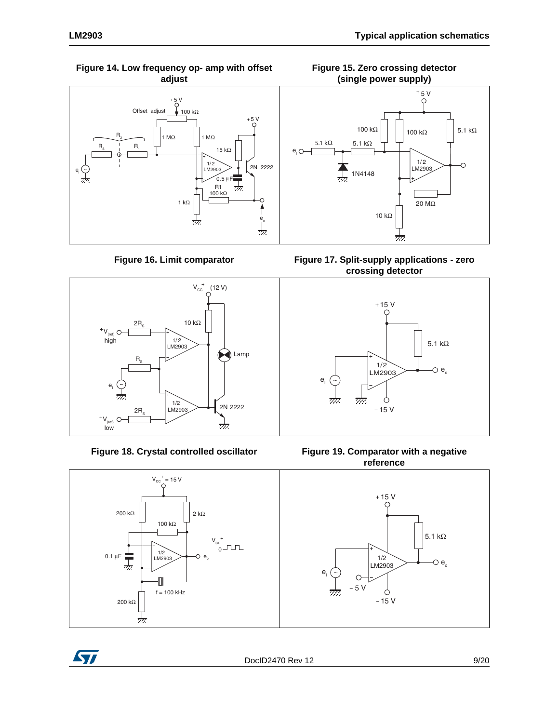



Figure 16. Limit comparator



Figure 18. Crystal controlled oscillator







**Figure 17. Split-supply applications - zero crossing detector**



**Figure 19. Comparator with a negative reference**

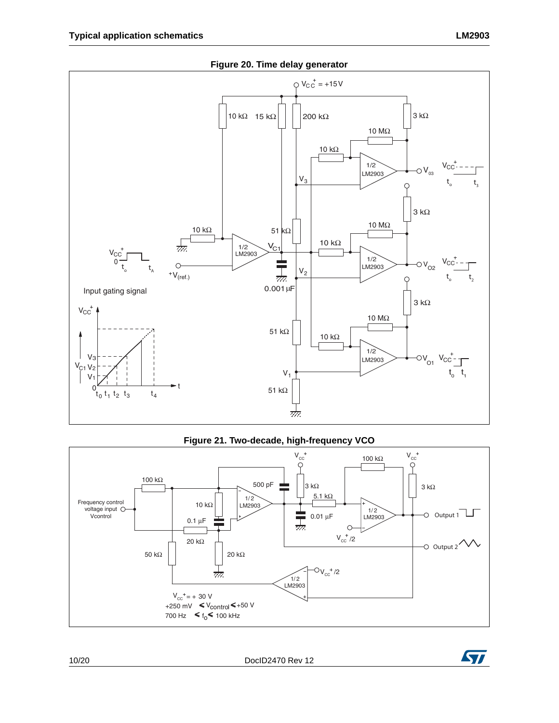

#### **Figure 21. Two-decade, high-frequency VCO**



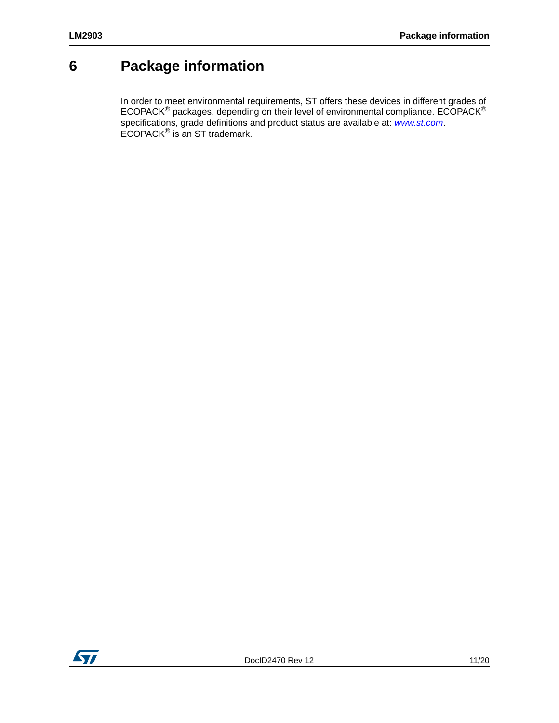# <span id="page-10-0"></span>**6 Package information**

In order to meet environmental requirements, ST offers these devic[es in different](http://www.st.com) grades of ECOPACK<sup>®</sup> packages, depending on their level of environmental compliance. ECOPACK<sup>®</sup> specifications, grade definitions and product status are available at: *www.st.com*. ECOPACK® is an ST trademark.

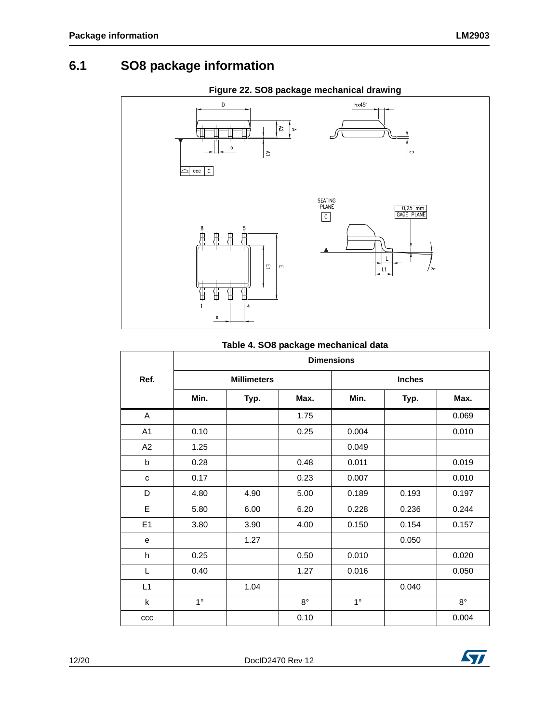### <span id="page-11-0"></span>**6.1 SO8 package information**



#### **Table 4. SO8 package mechanical data**

|                |             |                    |             | <b>Dimensions</b> |               |             |
|----------------|-------------|--------------------|-------------|-------------------|---------------|-------------|
| Ref.           |             | <b>Millimeters</b> |             |                   | <b>Inches</b> |             |
|                | Min.        | Typ.               | Max.        | Min.              | Typ.          | Max.        |
| A              |             |                    | 1.75        |                   |               | 0.069       |
| A <sub>1</sub> | 0.10        |                    | 0.25        | 0.004             |               | 0.010       |
| A2             | 1.25        |                    |             | 0.049             |               |             |
| b              | 0.28        |                    | 0.48        | 0.011             |               | 0.019       |
| C              | 0.17        |                    | 0.23        | 0.007             |               | 0.010       |
| D              | 4.80        | 4.90               | 5.00        | 0.189             | 0.193         | 0.197       |
| E              | 5.80        | 6.00               | 6.20        | 0.228             | 0.236         | 0.244       |
| E1             | 3.80        | 3.90               | 4.00        | 0.150             | 0.154         | 0.157       |
| e              |             | 1.27               |             |                   | 0.050         |             |
| h              | 0.25        |                    | 0.50        | 0.010             |               | 0.020       |
| L              | 0.40        |                    | 1.27        | 0.016             |               | 0.050       |
| L1             |             | 1.04               |             |                   | 0.040         |             |
| $\mathsf{k}$   | $1^{\circ}$ |                    | $8^{\circ}$ | $1^{\circ}$       |               | $8^{\circ}$ |
| ccc            |             |                    | 0.10        |                   |               | 0.004       |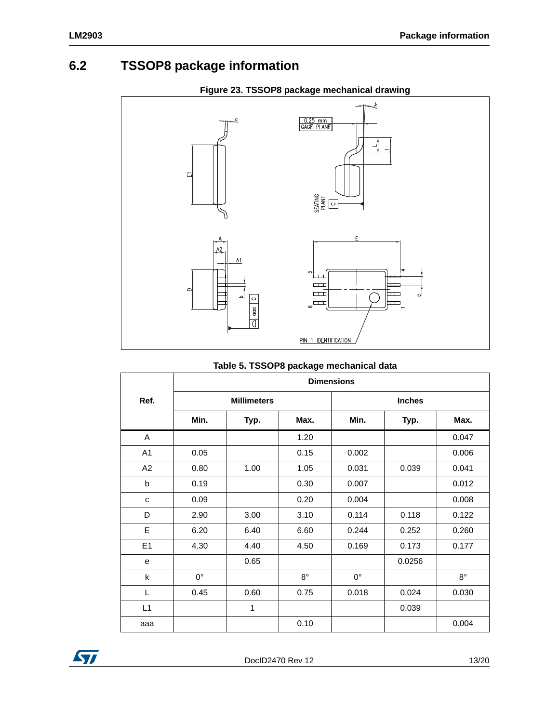### <span id="page-12-0"></span>**6.2 TSSOP8 package information**



#### **Figure 23. TSSOP8 package mechanical drawing**

#### **Table 5. TSSOP8 package mechanical data**

|                | <b>Dimensions</b> |                    |             |             |               |             |  |
|----------------|-------------------|--------------------|-------------|-------------|---------------|-------------|--|
| Ref.           |                   | <b>Millimeters</b> |             |             | <b>Inches</b> |             |  |
|                | Min.              | Typ.               | Max.        | Min.        | Typ.          | Max.        |  |
| A              |                   |                    | 1.20        |             |               | 0.047       |  |
| A <sub>1</sub> | 0.05              |                    | 0.15        | 0.002       |               | 0.006       |  |
| A2             | 0.80              | 1.00               | 1.05        | 0.031       | 0.039         | 0.041       |  |
| b              | 0.19              |                    | 0.30        | 0.007       |               | 0.012       |  |
| C              | 0.09              |                    | 0.20        | 0.004       |               | 0.008       |  |
| D              | 2.90              | 3.00               | 3.10        | 0.114       | 0.118         | 0.122       |  |
| E              | 6.20              | 6.40               | 6.60        | 0.244       | 0.252         | 0.260       |  |
| E1             | 4.30              | 4.40               | 4.50        | 0.169       | 0.173         | 0.177       |  |
| e              |                   | 0.65               |             |             | 0.0256        |             |  |
| k              | $0^{\circ}$       |                    | $8^{\circ}$ | $0^{\circ}$ |               | $8^{\circ}$ |  |
| L              | 0.45              | 0.60               | 0.75        | 0.018       | 0.024         | 0.030       |  |
| L1             |                   | 1                  |             |             | 0.039         |             |  |
| aaa            |                   |                    | 0.10        |             |               | 0.004       |  |

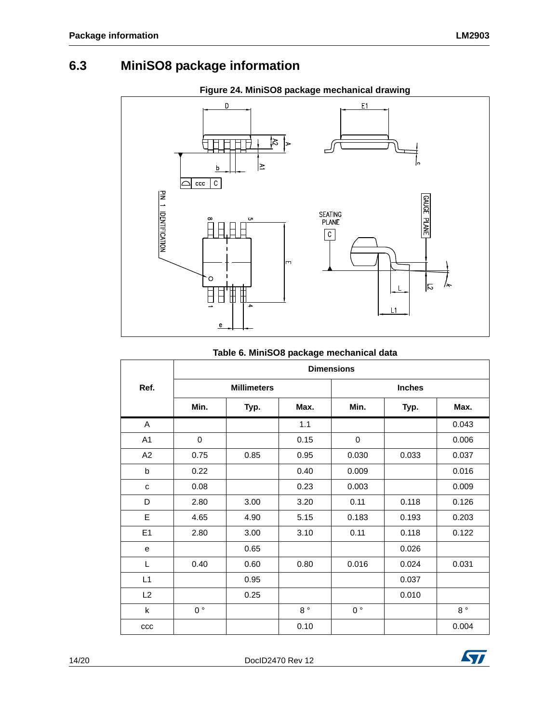### <span id="page-13-0"></span>**6.3 MiniSO8 package information**



### **Table 6. MiniSO8 package mechanical data**

|                | <b>Dimensions</b> |                    |             |                |               |             |  |
|----------------|-------------------|--------------------|-------------|----------------|---------------|-------------|--|
| Ref.           |                   | <b>Millimeters</b> |             |                | <b>Inches</b> |             |  |
|                | Min.              | Typ.               | Max.        | Min.           | Typ.          | Max.        |  |
| A              |                   |                    | 1.1         |                |               | 0.043       |  |
| A1             | 0                 |                    | 0.15        | 0              |               | 0.006       |  |
| A <sub>2</sub> | 0.75              | 0.85               | 0.95        | 0.030          | 0.033         | 0.037       |  |
| b              | 0.22              |                    | 0.40        | 0.009          |               | 0.016       |  |
| C              | 0.08              |                    | 0.23        | 0.003          |               | 0.009       |  |
| D              | 2.80              | 3.00               | 3.20        | 0.11           | 0.118         | 0.126       |  |
| E              | 4.65              | 4.90               | 5.15        | 0.183          | 0.193         | 0.203       |  |
| E <sub>1</sub> | 2.80              | 3.00               | 3.10        | 0.11           | 0.118         | 0.122       |  |
| e              |                   | 0.65               |             |                | 0.026         |             |  |
| L              | 0.40              | 0.60               | 0.80        | 0.016          | 0.024         | 0.031       |  |
| L1             |                   | 0.95               |             |                | 0.037         |             |  |
| L2             |                   | 0.25               |             |                | 0.010         |             |  |
| k              | $0^{\circ}$       |                    | $8^{\circ}$ | 0 <sup>°</sup> |               | $8^{\circ}$ |  |
| ccc            |                   |                    | 0.10        |                |               | 0.004       |  |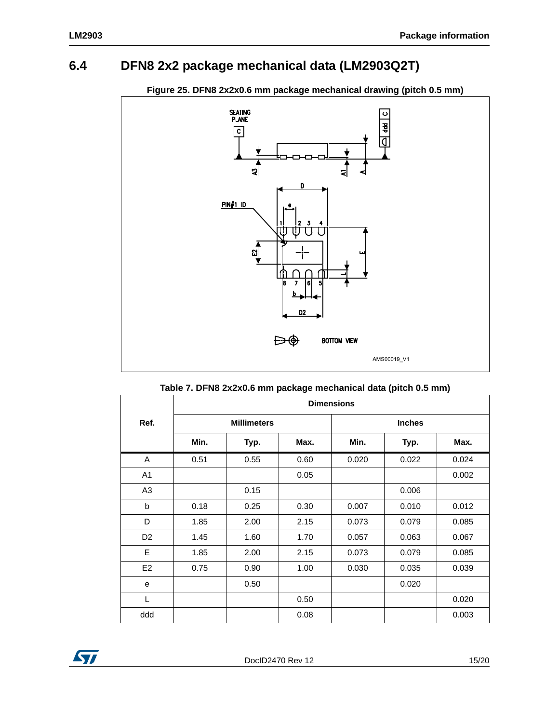### <span id="page-14-0"></span>**6.4 DFN8 2x2 package mechanical data (LM2903Q2T)**



#### **Figure 25. DFN8 2x2x0.6 mm package mechanical drawing (pitch 0.5 mm)**

|                | <b>Dimensions</b> |                    |      |       |               |       |  |
|----------------|-------------------|--------------------|------|-------|---------------|-------|--|
| Ref.           |                   | <b>Millimeters</b> |      |       | <b>Inches</b> |       |  |
|                | Min.              | Typ.               | Max. | Min.  | Typ.          | Max.  |  |
| A              | 0.51              | 0.55               | 0.60 | 0.020 | 0.022         | 0.024 |  |
| A <sub>1</sub> |                   |                    | 0.05 |       |               | 0.002 |  |
| A <sub>3</sub> |                   | 0.15               |      |       | 0.006         |       |  |
| b              | 0.18              | 0.25               | 0.30 | 0.007 | 0.010         | 0.012 |  |
| D              | 1.85              | 2.00               | 2.15 | 0.073 | 0.079         | 0.085 |  |
| D <sub>2</sub> | 1.45              | 1.60               | 1.70 | 0.057 | 0.063         | 0.067 |  |
| E              | 1.85              | 2.00               | 2.15 | 0.073 | 0.079         | 0.085 |  |
| E <sub>2</sub> | 0.75              | 0.90               | 1.00 | 0.030 | 0.035         | 0.039 |  |
| e              |                   | 0.50               |      |       | 0.020         |       |  |
| L              |                   |                    | 0.50 |       |               | 0.020 |  |
| ddd            |                   |                    | 0.08 |       |               | 0.003 |  |

#### **Table 7. DFN8 2x2x0.6 mm package mechanical data (pitch 0.5 mm)**

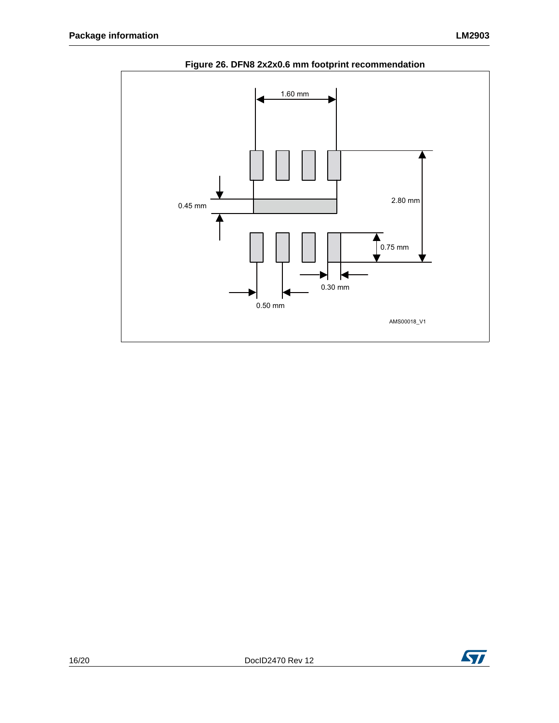

### **Figure 26. DFN8 2x2x0.6 mm footprint recommendation**

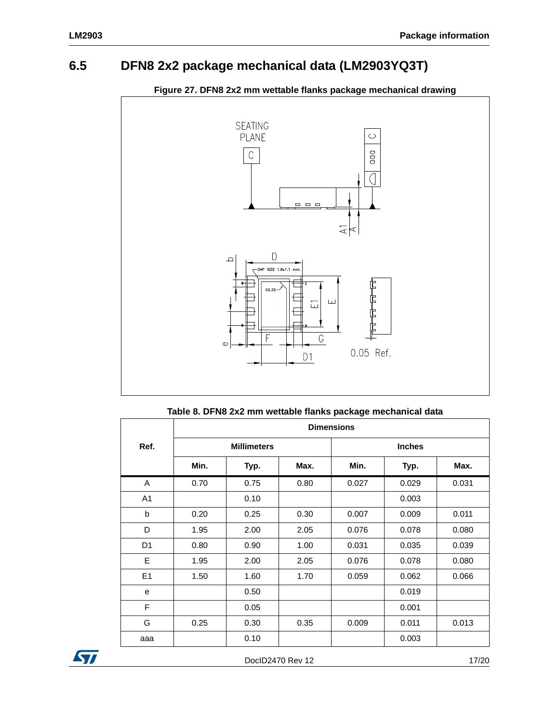### <span id="page-16-0"></span>**6.5 DFN8 2x2 package mechanical data (LM2903YQ3T)**



#### **Figure 27. DFN8 2x2 mm wettable flanks package mechanical drawing**

|                | <b>Dimensions</b> |                    |      |       |               |       |  |
|----------------|-------------------|--------------------|------|-------|---------------|-------|--|
| Ref.           |                   | <b>Millimeters</b> |      |       | <b>Inches</b> |       |  |
|                | Min.              | Typ.               | Max. | Min.  | Typ.          | Max.  |  |
| A              | 0.70              | 0.75               | 0.80 | 0.027 | 0.029         | 0.031 |  |
| A1             |                   | 0.10               |      |       | 0.003         |       |  |
| b              | 0.20              | 0.25               | 0.30 | 0.007 | 0.009         | 0.011 |  |
| D              | 1.95              | 2.00               | 2.05 | 0.076 | 0.078         | 0.080 |  |
| D <sub>1</sub> | 0.80              | 0.90               | 1.00 | 0.031 | 0.035         | 0.039 |  |
| E              | 1.95              | 2.00               | 2.05 | 0.076 | 0.078         | 0.080 |  |
| E1             | 1.50              | 1.60               | 1.70 | 0.059 | 0.062         | 0.066 |  |
| e              |                   | 0.50               |      |       | 0.019         |       |  |
| F              |                   | 0.05               |      |       | 0.001         |       |  |
| G              | 0.25              | 0.30               | 0.35 | 0.009 | 0.011         | 0.013 |  |
| aaa            |                   | 0.10               |      |       | 0.003         |       |  |



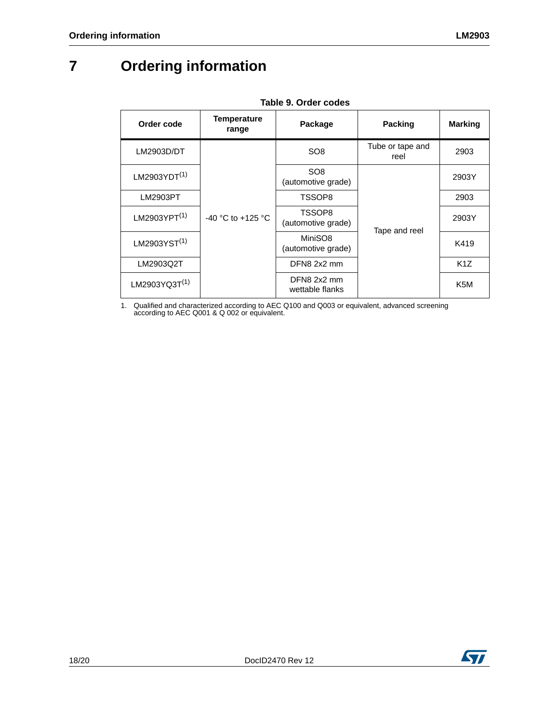# <span id="page-17-0"></span>**7 Ordering information**

| Order code                | <b>Temperature</b><br>range | Package                               | Packing                  | <b>Marking</b>   |
|---------------------------|-----------------------------|---------------------------------------|--------------------------|------------------|
| LM2903D/DT                |                             | SO <sub>8</sub>                       | Tube or tape and<br>reel | 2903             |
| LM2903YDT $(1)$           | $-40$ °C to $+125$ °C       | SO <sub>8</sub><br>(automotive grade) | Tape and reel            | 2903Y            |
| LM2903PT                  |                             | TSSOP8                                |                          | 2903             |
| LM2903YPT <sup>(1)</sup>  |                             | TSSOP8<br>(automotive grade)          |                          | 2903Y            |
| LM2903YST <sup>(1)</sup>  |                             | MiniSO8<br>(automotive grade)         |                          | K419             |
| LM2903Q2T                 |                             | DFN8 2x2 mm                           |                          | K <sub>1</sub> Z |
| LM2903YQ3T <sup>(1)</sup> |                             | DFN8 2x2 mm<br>wettable flanks        |                          | K <sub>5</sub> M |

**Table 9. Order codes**

<span id="page-17-1"></span>1. Qualified and characterized according to AEC Q100 and Q003 or equivalent, advanced screening according to AEC Q001 & Q 002 or equivalent.

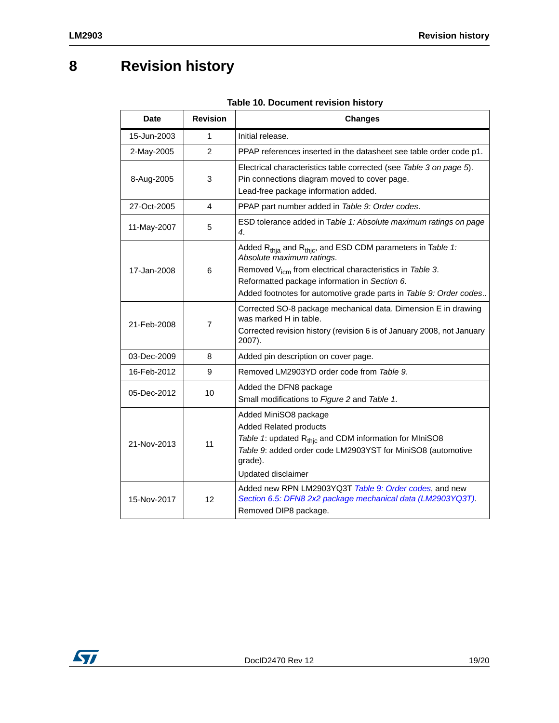# <span id="page-18-0"></span>**8 Revision history**

| <b>Date</b> | <b>Revision</b> | <b>Changes</b>                                                                                                                                                                                                                                                                                   |
|-------------|-----------------|--------------------------------------------------------------------------------------------------------------------------------------------------------------------------------------------------------------------------------------------------------------------------------------------------|
| 15-Jun-2003 | 1               | Initial release.                                                                                                                                                                                                                                                                                 |
| 2-May-2005  | $\overline{2}$  | PPAP references inserted in the datasheet see table order code p1.                                                                                                                                                                                                                               |
| 8-Aug-2005  | 3               | Electrical characteristics table corrected (see Table 3 on page 5).<br>Pin connections diagram moved to cover page.<br>Lead-free package information added.                                                                                                                                      |
| 27-Oct-2005 | 4               | PPAP part number added in Table 9: Order codes.                                                                                                                                                                                                                                                  |
| 11-May-2007 | 5               | ESD tolerance added in Table 1: Absolute maximum ratings on page<br>4.                                                                                                                                                                                                                           |
| 17-Jan-2008 | 6               | Added $R_{thia}$ and $R_{thic}$ , and ESD CDM parameters in Table 1:<br>Absolute maximum ratings.<br>Removed V <sub>icm</sub> from electrical characteristics in Table 3.<br>Reformatted package information in Section 6.<br>Added footnotes for automotive grade parts in Table 9: Order codes |
| 21-Feb-2008 | 7               | Corrected SO-8 package mechanical data. Dimension E in drawing<br>was marked H in table.<br>Corrected revision history (revision 6 is of January 2008, not January<br>2007).                                                                                                                     |
| 03-Dec-2009 | 8               | Added pin description on cover page.                                                                                                                                                                                                                                                             |
| 16-Feb-2012 | 9               | Removed LM2903YD order code from Table 9.                                                                                                                                                                                                                                                        |
| 05-Dec-2012 | 10              | Added the DFN8 package<br>Small modifications to Figure 2 and Table 1.                                                                                                                                                                                                                           |
| 21-Nov-2013 | 11              | Added MiniSO8 package<br><b>Added Related products</b><br>Table 1: updated R <sub>thic</sub> and CDM information for MIniSO8<br>Table 9: added order code LM2903YST for MiniSO8 (automotive<br>grade).<br>Updated disclaimer                                                                     |
| 15-Nov-2017 | 12              | Added new RPN LM2903YQ3T Table 9: Order codes, and new<br>Section 6.5: DFN8 2x2 package mechanical data (LM2903YQ3T).<br>Removed DIP8 package.                                                                                                                                                   |

#### **Table 10. Document revision history**